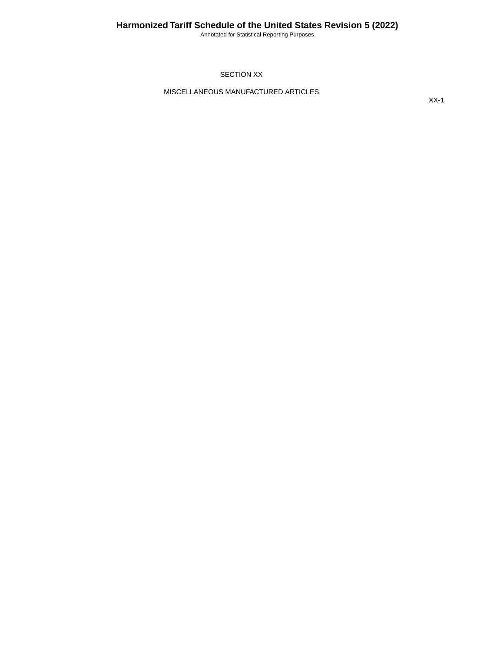Annotated for Statistical Reporting Purposes

#### SECTION XX

MISCELLANEOUS MANUFACTURED ARTICLES

XX-1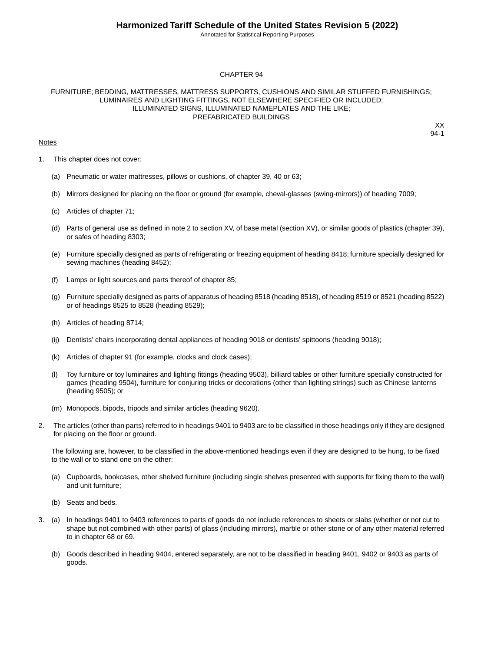Annotated for Statistical Reporting Purposes

#### CHAPTER 94

#### FURNITURE; BEDDING, MATTRESSES, MATTRESS SUPPORTS, CUSHIONS AND SIMILAR STUFFED FURNISHINGS; LUMINAIRES AND LIGHTING FITTINGS, NOT ELSEWHERE SPECIFIED OR INCLUDED; ILLUMINATED SIGNS, ILLUMINATED NAMEPLATES AND THE LIKE; PREFABRICATED BUILDINGS

#### **Notes**

XX 94-1

- 1. This chapter does not cover:
	- (a) Pneumatic or water mattresses, pillows or cushions, of chapter 39, 40 or 63;
	- (b) Mirrors designed for placing on the floor or ground (for example, cheval-glasses (swing-mirrors)) of heading 7009;
	- (c) Articles of chapter 71;
	- (d) Parts of general use as defined in note 2 to section XV, of base metal (section XV), or similar goods of plastics (chapter 39), or safes of heading 8303;
	- (e) Furniture specially designed as parts of refrigerating or freezing equipment of heading 8418; furniture specially designed for sewing machines (heading 8452);
	- (f) Lamps or light sources and parts thereof of chapter 85;
	- (g) Furniture specially designed as parts of apparatus of heading 8518 (heading 8518), of heading 8519 or 8521 (heading 8522) or of headings 8525 to 8528 (heading 8529);
	- (h) Articles of heading 8714;
	- (ij) Dentists' chairs incorporating dental appliances of heading 9018 or dentists' spittoons (heading 9018);
	- (k) Articles of chapter 91 (for example, clocks and clock cases);
	- (l) Toy furniture or toy luminaires and lighting fittings (heading 9503), billiard tables or other furniture specially constructed for games (heading 9504), furniture for conjuring tricks or decorations (other than lighting strings) such as Chinese lanterns (heading 9505); or
	- (m) Monopods, bipods, tripods and similar articles (heading 9620).
- 2. The articles (other than parts) referred to in headings 9401 to 9403 are to be classified in those headings only if they are designed for placing on the floor or ground.

The following are, however, to be classified in the above-mentioned headings even if they are designed to be hung, to be fixed to the wall or to stand one on the other:

- (a) Cupboards, bookcases, other shelved furniture (including single shelves presented with supports for fixing them to the wall) and unit furniture;
- (b) Seats and beds.
- 3. (a) In headings 9401 to 9403 references to parts of goods do not include references to sheets or slabs (whether or not cut to shape but not combined with other parts) of glass (including mirrors), marble or other stone or of any other material referred to in chapter 68 or 69.
	- (b) Goods described in heading 9404, entered separately, are not to be classified in heading 9401, 9402 or 9403 as parts of goods.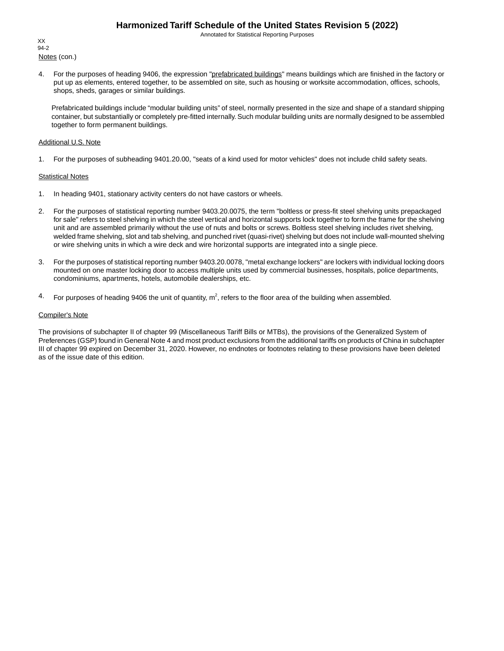Annotated for Statistical Reporting Purposes

Notes (con.) XX 94-2

4. For the purposes of heading 9406, the expression "prefabricated buildings" means buildings which are finished in the factory or put up as elements, entered together, to be assembled on site, such as housing or worksite accommodation, offices, schools, shops, sheds, garages or similar buildings.

Prefabricated buildings include "modular building units" of steel, normally presented in the size and shape of a standard shipping container, but substantially or completely pre-fitted internally. Such modular building units are normally designed to be assembled together to form permanent buildings.

#### Additional U.S. Note

1. For the purposes of subheading 9401.20.00, "seats of a kind used for motor vehicles" does not include child safety seats.

#### Statistical Notes

- 1. In heading 9401, stationary activity centers do not have castors or wheels.
- 2. For the purposes of statistical reporting number 9403.20.0075, the term "boltless or press-fit steel shelving units prepackaged for sale" refers to steel shelving in which the steel vertical and horizontal supports lock together to form the frame for the shelving unit and are assembled primarily without the use of nuts and bolts or screws. Boltless steel shelving includes rivet shelving, welded frame shelving, slot and tab shelving, and punched rivet (quasi-rivet) shelving but does not include wall-mounted shelving or wire shelving units in which a wire deck and wire horizontal supports are integrated into a single piece.
- 3. For the purposes of statistical reporting number 9403.20.0078, "metal exchange lockers" are lockers with individual locking doors mounted on one master locking door to access multiple units used by commercial businesses, hospitals, police departments, condominiums, apartments, hotels, automobile dealerships, etc.
- 4. For purposes of heading 9406 the unit of quantity,  $m^2$ , refers to the floor area of the building when assembled.

#### Compiler's Note

The provisions of subchapter II of chapter 99 (Miscellaneous Tariff Bills or MTBs), the provisions of the Generalized System of Preferences (GSP) found in General Note 4 and most product exclusions from the additional tariffs on products of China in subchapter III of chapter 99 expired on December 31, 2020. However, no endnotes or footnotes relating to these provisions have been deleted as of the issue date of this edition.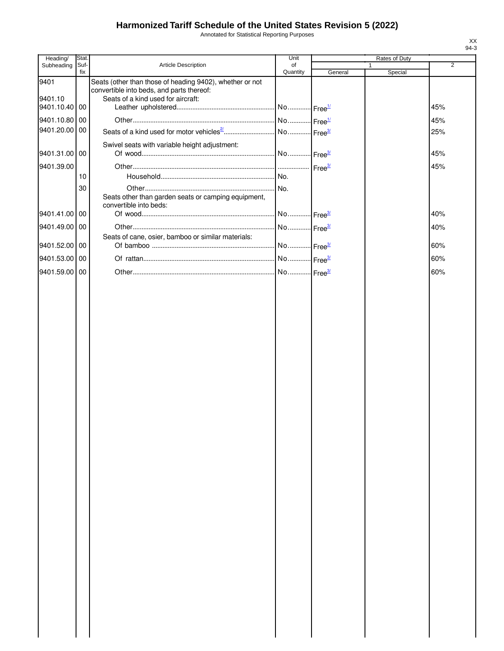Annotated for Statistical Reporting Purposes

| Heading/                 | Stat.       |                                                                                                       | Unit                  |                                  | Rates of Duty |                |
|--------------------------|-------------|-------------------------------------------------------------------------------------------------------|-----------------------|----------------------------------|---------------|----------------|
| Subheading               | Suf-<br>fix | Article Description                                                                                   | of<br>Quantity        | General                          | Special       | $\overline{2}$ |
| 9401                     |             | Seats (other than those of heading 9402), whether or not<br>convertible into beds, and parts thereof: |                       |                                  |               |                |
| 9401.10<br>9401.10.40 00 |             | Seats of a kind used for aircraft:                                                                    |                       | $\cdot$ Free <sup>1/</sup>       |               | 45%            |
| 9401.10.80 00            |             |                                                                                                       | No                    | $\cdot$ Free $\frac{1}{2}$       |               | 45%            |
| 9401.20.00 00            |             |                                                                                                       |                       |                                  |               | 25%            |
|                          |             | Swivel seats with variable height adjustment:                                                         |                       |                                  |               |                |
| 9401.31.00 00            |             |                                                                                                       |                       |                                  |               | 45%            |
| 9401.39.00               |             |                                                                                                       |                       | Free <sup>3/</sup>               |               | 45%            |
|                          | 10          |                                                                                                       |                       |                                  |               |                |
|                          | 30          |                                                                                                       |                       |                                  |               |                |
|                          |             | Seats other than garden seats or camping equipment,<br>convertible into beds:                         |                       |                                  |               |                |
| 9401.41.00 00            |             |                                                                                                       | No                    | $\cdot$ Free $\frac{3}{2}$       |               | 40%            |
| 9401.49.00 00            |             |                                                                                                       | No                    | $\frac{3}{2}$ Free <sup>3/</sup> |               | 40%            |
| 9401.52.00 00            |             | Seats of cane, osier, bamboo or similar materials:                                                    | No                    | Free <sup>3/</sup>               |               | 60%            |
| 9401.53.00 00            |             |                                                                                                       | No Free <sup>3/</sup> |                                  |               | 60%            |
| 9401.59.00 00            |             |                                                                                                       |                       |                                  |               | 60%            |
|                          |             |                                                                                                       | No Free <sup>3/</sup> |                                  |               |                |
|                          |             |                                                                                                       |                       |                                  |               |                |
|                          |             |                                                                                                       |                       |                                  |               |                |
|                          |             |                                                                                                       |                       |                                  |               |                |
|                          |             |                                                                                                       |                       |                                  |               |                |
|                          |             |                                                                                                       |                       |                                  |               |                |
|                          |             |                                                                                                       |                       |                                  |               |                |
|                          |             |                                                                                                       |                       |                                  |               |                |
|                          |             |                                                                                                       |                       |                                  |               |                |
|                          |             |                                                                                                       |                       |                                  |               |                |
|                          |             |                                                                                                       |                       |                                  |               |                |
|                          |             |                                                                                                       |                       |                                  |               |                |
|                          |             |                                                                                                       |                       |                                  |               |                |
|                          |             |                                                                                                       |                       |                                  |               |                |
|                          |             |                                                                                                       |                       |                                  |               |                |
|                          |             |                                                                                                       |                       |                                  |               |                |
|                          |             |                                                                                                       |                       |                                  |               |                |
|                          |             |                                                                                                       |                       |                                  |               |                |
|                          |             |                                                                                                       |                       |                                  |               |                |
|                          |             |                                                                                                       |                       |                                  |               |                |
|                          |             |                                                                                                       |                       |                                  |               |                |
|                          |             |                                                                                                       |                       |                                  |               |                |
|                          |             |                                                                                                       |                       |                                  |               |                |
|                          |             |                                                                                                       |                       |                                  |               |                |
|                          |             |                                                                                                       |                       |                                  |               |                |
|                          |             |                                                                                                       |                       |                                  |               |                |
|                          |             |                                                                                                       |                       |                                  |               |                |
|                          |             |                                                                                                       |                       |                                  |               |                |
|                          |             |                                                                                                       |                       |                                  |               |                |
|                          |             |                                                                                                       |                       |                                  |               |                |
|                          |             |                                                                                                       |                       |                                  |               |                |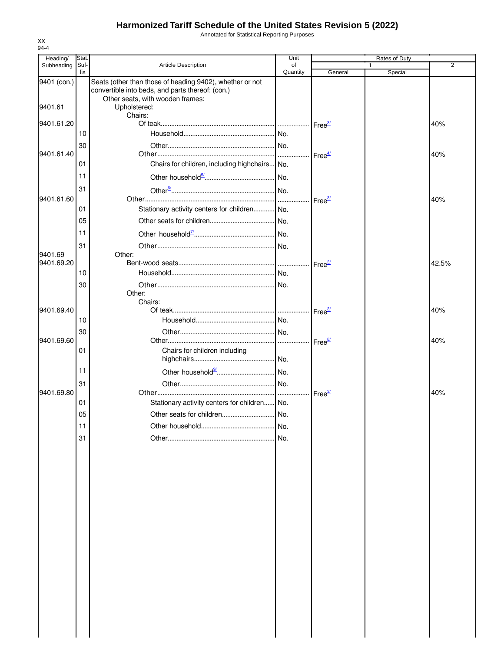Annotated for Statistical Reporting Purposes

| Heading/    | <b>Stat</b> |                                                                                                              | Unit           |                    | Rates of Duty |       |
|-------------|-------------|--------------------------------------------------------------------------------------------------------------|----------------|--------------------|---------------|-------|
| Subheading  | Suf-<br>fix | <b>Article Description</b>                                                                                   | of<br>Quantity |                    |               | 2     |
| 9401 (con.) |             | Seats (other than those of heading 9402), whether or not<br>convertible into beds, and parts thereof: (con.) |                | General            | Special       |       |
| 9401.61     |             | Other seats, with wooden frames:<br>Upholstered:<br>Chairs:                                                  |                |                    |               |       |
| 9401.61.20  |             |                                                                                                              |                | Free <sup>3/</sup> |               | 40%   |
|             | 10          |                                                                                                              |                |                    |               |       |
|             | 30          |                                                                                                              |                |                    |               |       |
| 9401.61.40  |             |                                                                                                              |                | Free <sup>4/</sup> |               | 40%   |
|             | 01          | Chairs for children, including highchairs No.                                                                |                |                    |               |       |
|             | 11          |                                                                                                              |                |                    |               |       |
|             | 31          |                                                                                                              |                |                    |               |       |
| 9401.61.60  |             |                                                                                                              |                | Free <sup>3/</sup> |               | 40%   |
|             | 01          | Stationary activity centers for children No.                                                                 |                |                    |               |       |
|             | 05          |                                                                                                              |                |                    |               |       |
|             | 11          |                                                                                                              |                |                    |               |       |
| 9401.69     | 31          | Other:                                                                                                       |                |                    |               |       |
| 9401.69.20  |             |                                                                                                              |                | Free <sup>3/</sup> |               | 42.5% |
|             | 10          |                                                                                                              |                |                    |               |       |
|             | 30          |                                                                                                              |                |                    |               |       |
|             |             | Other:<br>Chairs:                                                                                            |                |                    |               |       |
| 9401.69.40  |             |                                                                                                              |                | Free <sup>3/</sup> |               | 40%   |
|             | 10          |                                                                                                              |                |                    |               |       |
|             | 30          |                                                                                                              |                |                    |               |       |
| 9401.69.60  |             |                                                                                                              |                | Free <sup>8/</sup> |               | 40%   |
|             | 01          | Chairs for children including                                                                                |                |                    |               |       |
|             | 11          |                                                                                                              |                |                    |               |       |
|             |             |                                                                                                              |                |                    |               |       |
| 9401.69.80  | 31          |                                                                                                              |                | Free $\frac{3}{2}$ |               | 40%   |
|             | 01          | Stationary activity centers for children No.                                                                 |                |                    |               |       |
|             | 05          |                                                                                                              |                |                    |               |       |
|             | 11          |                                                                                                              | No.            |                    |               |       |
|             | 31          |                                                                                                              | No.            |                    |               |       |
|             |             |                                                                                                              |                |                    |               |       |
|             |             |                                                                                                              |                |                    |               |       |
|             |             |                                                                                                              |                |                    |               |       |
|             |             |                                                                                                              |                |                    |               |       |
|             |             |                                                                                                              |                |                    |               |       |
|             |             |                                                                                                              |                |                    |               |       |
|             |             |                                                                                                              |                |                    |               |       |
|             |             |                                                                                                              |                |                    |               |       |
|             |             |                                                                                                              |                |                    |               |       |
|             |             |                                                                                                              |                |                    |               |       |
|             |             |                                                                                                              |                |                    |               |       |
|             |             |                                                                                                              |                |                    |               |       |
|             |             |                                                                                                              |                |                    |               |       |
|             |             |                                                                                                              |                |                    |               |       |
|             |             |                                                                                                              |                |                    |               |       |
|             |             |                                                                                                              |                |                    |               |       |
|             |             |                                                                                                              |                |                    |               |       |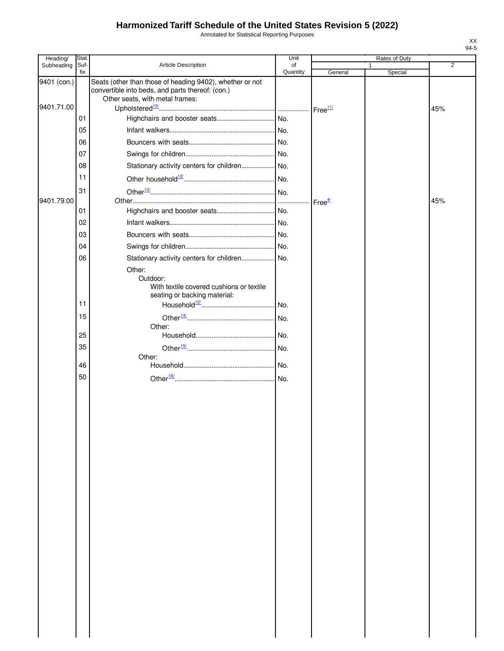Annotated for Statistical Reporting Purposes

| Heading/    | Stat.       |                                                                                                                                                 | Unit           |                    | Rates of Duty |                |
|-------------|-------------|-------------------------------------------------------------------------------------------------------------------------------------------------|----------------|--------------------|---------------|----------------|
| Subheading  | Suf-<br>fix | <b>Article Description</b>                                                                                                                      | of<br>Quantity | General            | Special       | $\overline{2}$ |
| 9401 (con.) |             | Seats (other than those of heading 9402), whether or not<br>convertible into beds, and parts thereof: (con.)<br>Other seats, with metal frames: |                |                    |               |                |
| 9401.71.00  |             |                                                                                                                                                 |                |                    |               | 45%            |
|             | 01          |                                                                                                                                                 |                |                    |               |                |
|             | 05          |                                                                                                                                                 |                |                    |               |                |
|             | 06          |                                                                                                                                                 |                |                    |               |                |
|             | 07          |                                                                                                                                                 |                |                    |               |                |
|             | 08          | Stationary activity centers for children No.                                                                                                    |                |                    |               |                |
|             | 11          |                                                                                                                                                 |                |                    |               |                |
|             | 31          |                                                                                                                                                 |                |                    |               |                |
| 9401.79.00  |             |                                                                                                                                                 |                | Free <sup>4/</sup> |               | 45%            |
|             | 01          |                                                                                                                                                 |                |                    |               |                |
|             | 02          |                                                                                                                                                 |                |                    |               |                |
|             | 03          |                                                                                                                                                 |                |                    |               |                |
|             | 04          |                                                                                                                                                 |                |                    |               |                |
|             | 06          | Stationary activity centers for children No.<br>Other:                                                                                          |                |                    |               |                |
|             |             | Outdoor:<br>With textile covered cushions or textile<br>seating or backing material:                                                            |                |                    |               |                |
|             | 11          |                                                                                                                                                 |                |                    |               |                |
|             | 15          | Other:                                                                                                                                          |                |                    |               |                |
|             | 25          |                                                                                                                                                 |                |                    |               |                |
|             | 35          |                                                                                                                                                 |                |                    |               |                |
|             | 46          | Other:                                                                                                                                          |                |                    |               |                |
|             | 50          |                                                                                                                                                 |                |                    |               |                |
|             |             |                                                                                                                                                 |                |                    |               |                |
|             |             |                                                                                                                                                 |                |                    |               |                |
|             |             |                                                                                                                                                 |                |                    |               |                |
|             |             |                                                                                                                                                 |                |                    |               |                |
|             |             |                                                                                                                                                 |                |                    |               |                |
|             |             |                                                                                                                                                 |                |                    |               |                |
|             |             |                                                                                                                                                 |                |                    |               |                |
|             |             |                                                                                                                                                 |                |                    |               |                |
|             |             |                                                                                                                                                 |                |                    |               |                |
|             |             |                                                                                                                                                 |                |                    |               |                |
|             |             |                                                                                                                                                 |                |                    |               |                |
|             |             |                                                                                                                                                 |                |                    |               |                |
|             |             |                                                                                                                                                 |                |                    |               |                |
|             |             |                                                                                                                                                 |                |                    |               |                |
|             |             |                                                                                                                                                 |                |                    |               |                |
|             |             |                                                                                                                                                 |                |                    |               |                |
|             |             |                                                                                                                                                 |                |                    |               |                |
|             |             |                                                                                                                                                 |                |                    |               |                |
|             |             |                                                                                                                                                 |                |                    |               |                |
|             |             |                                                                                                                                                 |                |                    |               |                |
|             |             |                                                                                                                                                 |                |                    |               |                |
|             |             |                                                                                                                                                 |                |                    |               |                |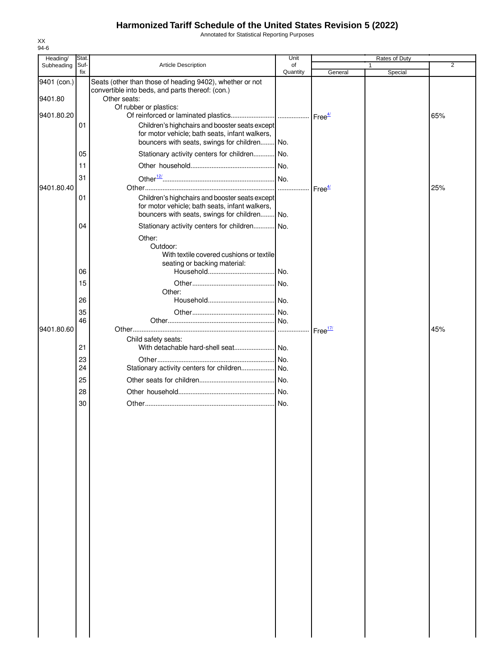Annotated for Statistical Reporting Purposes

| Heading/    | Stat        |                                                                                                              | Unit           |                    |   | Rates of Duty |                |
|-------------|-------------|--------------------------------------------------------------------------------------------------------------|----------------|--------------------|---|---------------|----------------|
| Subheading  | Suf-<br>fix | <b>Article Description</b>                                                                                   | of<br>Quantity | General            | 1 | Special       | $\overline{2}$ |
| 9401 (con.) |             | Seats (other than those of heading 9402), whether or not<br>convertible into beds, and parts thereof: (con.) |                |                    |   |               |                |
| 9401.80     |             | Other seats:<br>Of rubber or plastics:                                                                       |                |                    |   |               |                |
| 9401.80.20  |             |                                                                                                              |                |                    |   |               | 65%            |
|             | 01          | Children's highchairs and booster seats except                                                               |                |                    |   |               |                |
|             |             | for motor vehicle; bath seats, infant walkers,<br>bouncers with seats, swings for children No.               |                |                    |   |               |                |
|             | 05          | Stationary activity centers for children No.                                                                 |                |                    |   |               |                |
|             | 11          |                                                                                                              |                |                    |   |               |                |
|             | 31          |                                                                                                              |                |                    |   |               |                |
| 9401.80.40  |             |                                                                                                              |                | Free <sup>4/</sup> |   |               | 25%            |
|             | 01          | Children's highchairs and booster seats except<br>for motor vehicle; bath seats, infant walkers,             |                |                    |   |               |                |
|             |             | bouncers with seats, swings for children No.                                                                 |                |                    |   |               |                |
|             | 04          | Stationary activity centers for children No.                                                                 |                |                    |   |               |                |
|             |             | Other:<br>Outdoor:                                                                                           |                |                    |   |               |                |
|             | 06          | With textile covered cushions or textile<br>seating or backing material:                                     |                |                    |   |               |                |
|             | 15          |                                                                                                              |                |                    |   |               |                |
|             |             | Other:                                                                                                       |                |                    |   |               |                |
|             | 26          |                                                                                                              |                |                    |   |               |                |
|             | 35<br>46    |                                                                                                              |                |                    |   |               |                |
| 9401.80.60  |             |                                                                                                              |                | Free <sup>17</sup> |   |               | 45%            |
|             |             | Child safety seats:                                                                                          |                |                    |   |               |                |
|             | 21          |                                                                                                              |                |                    |   |               |                |
|             | 23          |                                                                                                              |                |                    |   |               |                |
|             | 24          | Stationary activity centers for children No.                                                                 |                |                    |   |               |                |
|             | 25          |                                                                                                              |                |                    |   |               |                |
|             | 28          |                                                                                                              |                |                    |   |               |                |
|             | 30          |                                                                                                              |                |                    |   |               |                |
|             |             |                                                                                                              |                |                    |   |               |                |
|             |             |                                                                                                              |                |                    |   |               |                |
|             |             |                                                                                                              |                |                    |   |               |                |
|             |             |                                                                                                              |                |                    |   |               |                |
|             |             |                                                                                                              |                |                    |   |               |                |
|             |             |                                                                                                              |                |                    |   |               |                |
|             |             |                                                                                                              |                |                    |   |               |                |
|             |             |                                                                                                              |                |                    |   |               |                |
|             |             |                                                                                                              |                |                    |   |               |                |
|             |             |                                                                                                              |                |                    |   |               |                |
|             |             |                                                                                                              |                |                    |   |               |                |
|             |             |                                                                                                              |                |                    |   |               |                |
|             |             |                                                                                                              |                |                    |   |               |                |
|             |             |                                                                                                              |                |                    |   |               |                |
|             |             |                                                                                                              |                |                    |   |               |                |
|             |             |                                                                                                              |                |                    |   |               |                |
|             |             |                                                                                                              |                |                    |   |               |                |
|             |             |                                                                                                              |                |                    |   |               |                |
|             |             |                                                                                                              |                |                    |   |               |                |
|             |             |                                                                                                              |                |                    |   |               |                |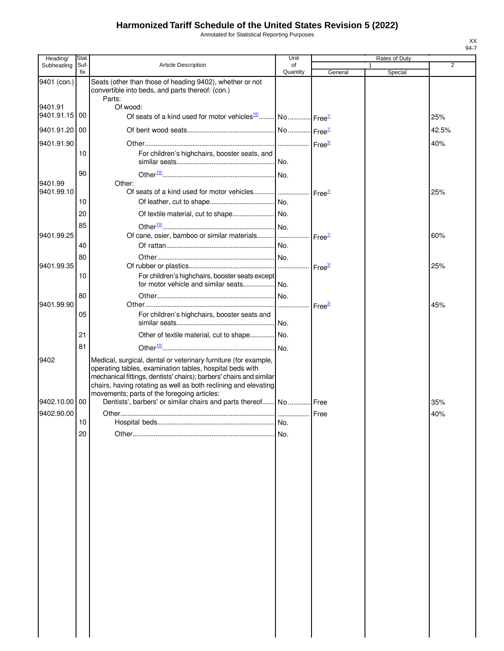Annotated for Statistical Reporting Purposes

| Heading/              | Stat.       |                                                                                                                                                                                                                                                   | Unit           |         | Rates of Duty           |       |
|-----------------------|-------------|---------------------------------------------------------------------------------------------------------------------------------------------------------------------------------------------------------------------------------------------------|----------------|---------|-------------------------|-------|
| Subheading            | Suf-<br>fix | <b>Article Description</b>                                                                                                                                                                                                                        | of<br>Quantity | General | $\mathbf{1}$<br>Special | 2     |
| 9401 (con.)           |             | Seats (other than those of heading 9402), whether or not<br>convertible into beds, and parts thereof: (con.)<br>Parts:                                                                                                                            |                |         |                         |       |
| 9401.91               |             | Of wood:                                                                                                                                                                                                                                          |                |         |                         |       |
| 9401.91.15            | 00          |                                                                                                                                                                                                                                                   |                |         |                         | 25%   |
| 9401.91.20 00         |             |                                                                                                                                                                                                                                                   |                |         |                         | 42.5% |
| 9401.91.90            |             |                                                                                                                                                                                                                                                   |                |         |                         | 40%   |
|                       | 10          | For children's highchairs, booster seats, and                                                                                                                                                                                                     |                |         |                         |       |
|                       | 90          |                                                                                                                                                                                                                                                   |                |         |                         |       |
| 9401.99<br>9401.99.10 |             | Other:<br>Of seats of a kind used for motor vehicles  Free <sup>1/</sup>                                                                                                                                                                          |                |         |                         | 25%   |
|                       | 10          |                                                                                                                                                                                                                                                   |                |         |                         |       |
|                       | 20          |                                                                                                                                                                                                                                                   |                |         |                         |       |
|                       | 85          |                                                                                                                                                                                                                                                   |                |         |                         |       |
| 9401.99.25            |             | Of cane, osier, bamboo or similar materials      Free <sup>1/</sup>                                                                                                                                                                               |                |         |                         | 60%   |
|                       | 40          |                                                                                                                                                                                                                                                   |                |         |                         |       |
|                       | 80          |                                                                                                                                                                                                                                                   |                |         |                         |       |
| 9401.99.35            |             |                                                                                                                                                                                                                                                   |                |         |                         | 25%   |
|                       | 10          | For children's highchairs, booster seats except                                                                                                                                                                                                   |                |         |                         |       |
|                       | 80          |                                                                                                                                                                                                                                                   |                |         |                         |       |
| 9401.99.90            |             |                                                                                                                                                                                                                                                   |                |         |                         | 45%   |
|                       | 05          | For children's highchairs, booster seats and                                                                                                                                                                                                      |                |         |                         |       |
|                       | 21          | Other of textile material, cut to shape No.                                                                                                                                                                                                       |                |         |                         |       |
|                       | 81          |                                                                                                                                                                                                                                                   |                |         |                         |       |
| 9402                  |             | Medical, surgical, dental or veterinary furniture (for example,                                                                                                                                                                                   |                |         |                         |       |
|                       |             | operating tables, examination tables, hospital beds with<br>mechanical fittings, dentists' chairs); barbers' chairs and similar<br>chairs, having rotating as well as both reclining and elevating<br>movements; parts of the foregoing articles: |                |         |                         |       |
| 9402.10.00 00         |             | Dentists', barbers' or similar chairs and parts thereof No Free                                                                                                                                                                                   |                |         |                         | 35%   |
| 9402.90.00            |             |                                                                                                                                                                                                                                                   |                |         |                         | 40%   |
|                       | 10          |                                                                                                                                                                                                                                                   | No.            |         |                         |       |
|                       | 20          |                                                                                                                                                                                                                                                   |                |         |                         |       |
|                       |             |                                                                                                                                                                                                                                                   |                |         |                         |       |
|                       |             |                                                                                                                                                                                                                                                   |                |         |                         |       |
|                       |             |                                                                                                                                                                                                                                                   |                |         |                         |       |
|                       |             |                                                                                                                                                                                                                                                   |                |         |                         |       |
|                       |             |                                                                                                                                                                                                                                                   |                |         |                         |       |
|                       |             |                                                                                                                                                                                                                                                   |                |         |                         |       |
|                       |             |                                                                                                                                                                                                                                                   |                |         |                         |       |
|                       |             |                                                                                                                                                                                                                                                   |                |         |                         |       |
|                       |             |                                                                                                                                                                                                                                                   |                |         |                         |       |
|                       |             |                                                                                                                                                                                                                                                   |                |         |                         |       |
|                       |             |                                                                                                                                                                                                                                                   |                |         |                         |       |
|                       |             |                                                                                                                                                                                                                                                   |                |         |                         |       |
|                       |             |                                                                                                                                                                                                                                                   |                |         |                         |       |
|                       |             |                                                                                                                                                                                                                                                   |                |         |                         |       |
|                       |             |                                                                                                                                                                                                                                                   |                |         |                         |       |
|                       |             |                                                                                                                                                                                                                                                   |                |         |                         |       |
|                       |             |                                                                                                                                                                                                                                                   |                |         |                         |       |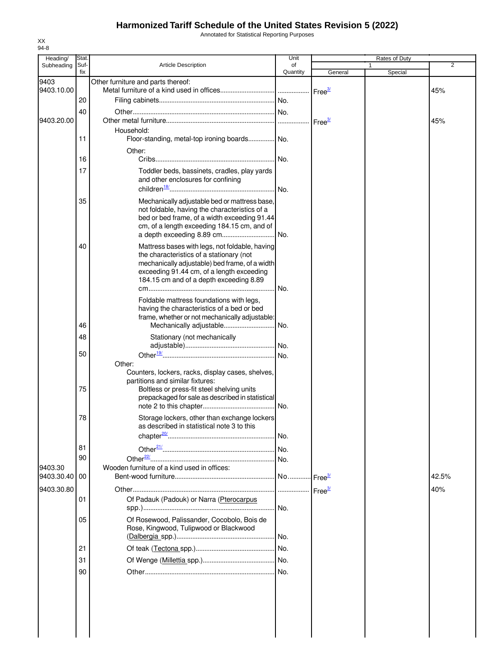Annotated for Statistical Reporting Purposes

| Heading/   | Stat.       |                                                                                                | Unit           |                    | Rates of Duty |                |
|------------|-------------|------------------------------------------------------------------------------------------------|----------------|--------------------|---------------|----------------|
| Subheading | Suf-<br>fix | <b>Article Description</b>                                                                     | of<br>Quantity | General            | 1<br>Special  | $\overline{2}$ |
| 9403       |             | Other furniture and parts thereof:                                                             |                |                    |               |                |
| 9403.10.00 |             |                                                                                                |                | Free <sup>3/</sup> |               | 45%            |
|            | 20          |                                                                                                |                |                    |               |                |
|            | 40          |                                                                                                |                |                    |               |                |
| 9403.20.00 |             |                                                                                                |                | Free <sup>3/</sup> |               | 45%            |
|            |             | Household:                                                                                     |                |                    |               |                |
|            | 11          | Floor-standing, metal-top ironing boards No.                                                   |                |                    |               |                |
|            |             | Other:                                                                                         |                |                    |               |                |
|            | 16          |                                                                                                | No.            |                    |               |                |
|            | 17          | Toddler beds, bassinets, cradles, play yards<br>and other enclosures for confining             |                |                    |               |                |
|            |             |                                                                                                | $.$ No.        |                    |               |                |
|            |             |                                                                                                |                |                    |               |                |
|            | 35          | Mechanically adjustable bed or mattress base,<br>not foldable, having the characteristics of a |                |                    |               |                |
|            |             | bed or bed frame, of a width exceeding 91.44                                                   |                |                    |               |                |
|            |             | cm, of a length exceeding 184.15 cm, and of                                                    |                |                    |               |                |
|            |             |                                                                                                |                |                    |               |                |
|            | 40          | Mattress bases with legs, not foldable, having                                                 |                |                    |               |                |
|            |             | the characteristics of a stationary (not                                                       |                |                    |               |                |
|            |             | mechanically adjustable) bed frame, of a width                                                 |                |                    |               |                |
|            |             | exceeding 91.44 cm, of a length exceeding                                                      |                |                    |               |                |
|            |             | 184.15 cm and of a depth exceeding 8.89                                                        | No.            |                    |               |                |
|            |             |                                                                                                |                |                    |               |                |
|            |             | Foldable mattress foundations with legs,                                                       |                |                    |               |                |
|            |             | having the characteristics of a bed or bed<br>frame, whether or not mechanically adjustable:   |                |                    |               |                |
|            | 46          | Mechanically adjustable                                                                        | No.            |                    |               |                |
|            | 48          | Stationary (not mechanically                                                                   |                |                    |               |                |
|            |             |                                                                                                |                |                    |               |                |
|            | 50          |                                                                                                |                |                    |               |                |
|            |             | Other:                                                                                         |                |                    |               |                |
|            |             | Counters, lockers, racks, display cases, shelves,                                              |                |                    |               |                |
|            |             | partitions and similar fixtures:                                                               |                |                    |               |                |
|            | 75          | Boltless or press-fit steel shelving units<br>prepackaged for sale as described in statistical |                |                    |               |                |
|            |             |                                                                                                |                |                    |               |                |
|            | 78          |                                                                                                |                |                    |               |                |
|            |             | Storage lockers, other than exchange lockers<br>as described in statistical note 3 to this     |                |                    |               |                |
|            |             |                                                                                                |                |                    |               |                |
|            | 81          |                                                                                                |                |                    |               |                |
|            | 90          |                                                                                                |                |                    |               |                |
| 9403.30    |             | Wooden furniture of a kind used in offices:                                                    |                |                    |               |                |
| 9403.30.40 | 00          |                                                                                                |                |                    |               | 42.5%          |
|            |             |                                                                                                |                |                    |               |                |
| 9403.30.80 |             |                                                                                                |                |                    |               | 40%            |
|            | 01          | Of Padauk (Padouk) or Narra (Pterocarpus                                                       | .I No.         |                    |               |                |
|            |             |                                                                                                |                |                    |               |                |
|            | 05          | Of Rosewood, Palissander, Cocobolo, Bois de<br>Rose, Kingwood, Tulipwood or Blackwood          |                |                    |               |                |
|            |             |                                                                                                | No.            |                    |               |                |
|            | 21          |                                                                                                |                |                    |               |                |
|            | 31          |                                                                                                |                |                    |               |                |
|            |             |                                                                                                |                |                    |               |                |
|            | 90          |                                                                                                |                |                    |               |                |
|            |             |                                                                                                |                |                    |               |                |
|            |             |                                                                                                |                |                    |               |                |
|            |             |                                                                                                |                |                    |               |                |
|            |             |                                                                                                |                |                    |               |                |
|            |             |                                                                                                |                |                    |               |                |
|            |             |                                                                                                |                |                    |               |                |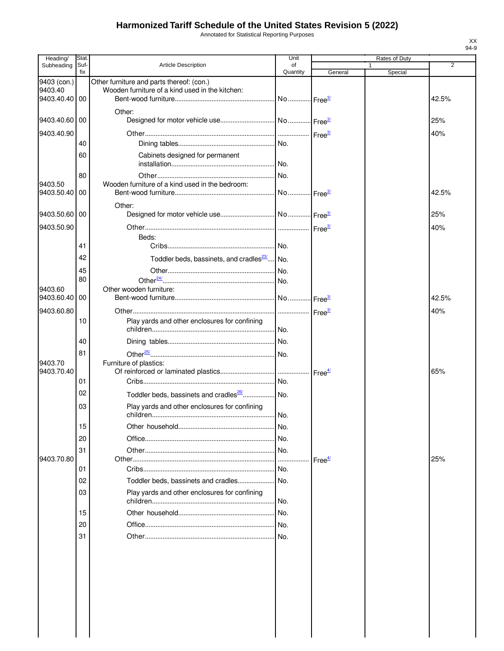Annotated for Statistical Reporting Purposes

| Heading/                                | Stat.       |                                                                                              | Unit           |                    | Rates of Duty |                |
|-----------------------------------------|-------------|----------------------------------------------------------------------------------------------|----------------|--------------------|---------------|----------------|
| Subheading                              | Suf-<br>fix | Article Description                                                                          | of<br>Quantity | General            | 1<br>Special  | $\overline{2}$ |
| 9403 (con.)<br>9403.40<br>9403.40.40 00 |             | Other furniture and parts thereof: (con.)<br>Wooden furniture of a kind used in the kitchen: |                |                    |               | 42.5%          |
| 9403.40.60 00                           |             | Other:                                                                                       |                |                    |               | 25%            |
| 9403.40.90                              |             |                                                                                              |                |                    |               | 40%            |
|                                         | 40          |                                                                                              |                |                    |               |                |
|                                         | 60          | Cabinets designed for permanent                                                              |                |                    |               |                |
|                                         | 80          |                                                                                              |                |                    |               |                |
| 9403.50                                 |             | Wooden furniture of a kind used in the bedroom:                                              |                |                    |               |                |
| 9403.50.40 00                           |             |                                                                                              |                |                    |               | 42.5%          |
| 9403.50.60 00                           |             | Other:                                                                                       |                |                    |               | 25%            |
|                                         |             |                                                                                              |                |                    |               |                |
| 9403.50.90                              |             |                                                                                              |                |                    |               | 40%            |
|                                         | 41          | Beds:                                                                                        | No.            |                    |               |                |
|                                         | 42          |                                                                                              |                |                    |               |                |
|                                         |             | Toddler beds, bassinets, and cradles <sup>23/</sup> No.                                      |                |                    |               |                |
|                                         | 45<br>80    |                                                                                              |                |                    |               |                |
| 9403.60<br>9403.60.40 00                |             | Other wooden furniture:                                                                      |                |                    |               | 42.5%          |
| 9403.60.80                              |             |                                                                                              |                |                    |               | 40%            |
|                                         | 10          | Play yards and other enclosures for confining                                                |                |                    |               |                |
|                                         | 40          |                                                                                              |                |                    |               |                |
|                                         | 81          |                                                                                              |                |                    |               |                |
| 9403.70<br>9403.70.40                   |             | Furniture of plastics:                                                                       |                |                    |               | 65%            |
|                                         | 01          |                                                                                              |                |                    |               |                |
|                                         | 02          |                                                                                              |                |                    |               |                |
|                                         | 03          | Play yards and other enclosures for confining                                                |                |                    |               |                |
|                                         | 15          |                                                                                              | No.            |                    |               |                |
|                                         | 20          |                                                                                              | No.            |                    |               |                |
|                                         | 31          |                                                                                              | .I No.         |                    |               |                |
| 9403.70.80                              |             |                                                                                              |                | Free <sup>4/</sup> |               | 25%            |
|                                         | 01          |                                                                                              |                |                    |               |                |
|                                         | 02          | Toddler beds, bassinets and cradles                                                          | .I No.         |                    |               |                |
|                                         | 03          | Play yards and other enclosures for confining                                                | INo.           |                    |               |                |
|                                         | 15          |                                                                                              | INo.           |                    |               |                |
|                                         | 20          |                                                                                              | .I No.         |                    |               |                |
|                                         | 31          |                                                                                              | No.            |                    |               |                |
|                                         |             |                                                                                              |                |                    |               |                |
|                                         |             |                                                                                              |                |                    |               |                |
|                                         |             |                                                                                              |                |                    |               |                |
|                                         |             |                                                                                              |                |                    |               |                |
|                                         |             |                                                                                              |                |                    |               |                |
|                                         |             |                                                                                              |                |                    |               |                |
|                                         |             |                                                                                              |                |                    |               |                |
|                                         |             |                                                                                              |                |                    |               |                |
|                                         |             |                                                                                              |                |                    |               |                |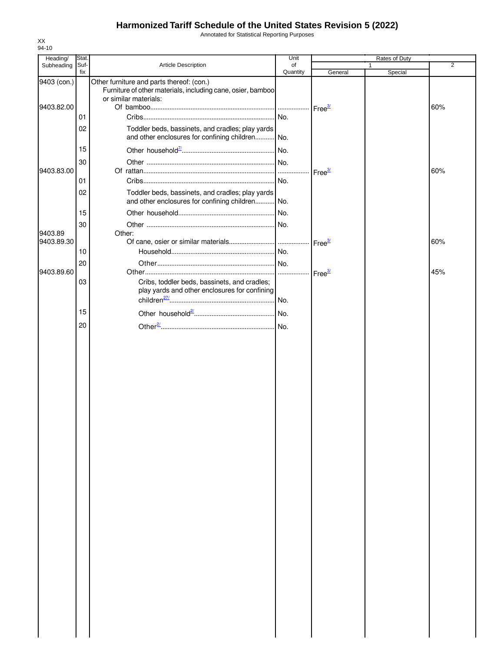Annotated for Statistical Reporting Purposes

| Stat. |                                              | Unit                                         |                                                                                                                                                                                                                                                                                                                                                                  | Rates of Duty                                                             |                |
|-------|----------------------------------------------|----------------------------------------------|------------------------------------------------------------------------------------------------------------------------------------------------------------------------------------------------------------------------------------------------------------------------------------------------------------------------------------------------------------------|---------------------------------------------------------------------------|----------------|
|       |                                              |                                              |                                                                                                                                                                                                                                                                                                                                                                  | 1                                                                         | $\overline{2}$ |
|       | Other furniture and parts thereof: (con.)    |                                              |                                                                                                                                                                                                                                                                                                                                                                  |                                                                           |                |
|       |                                              |                                              |                                                                                                                                                                                                                                                                                                                                                                  |                                                                           | 60%            |
| 01    |                                              |                                              |                                                                                                                                                                                                                                                                                                                                                                  |                                                                           |                |
| 02    |                                              |                                              |                                                                                                                                                                                                                                                                                                                                                                  |                                                                           |                |
| 15    |                                              |                                              |                                                                                                                                                                                                                                                                                                                                                                  |                                                                           |                |
|       |                                              |                                              |                                                                                                                                                                                                                                                                                                                                                                  |                                                                           |                |
|       |                                              |                                              |                                                                                                                                                                                                                                                                                                                                                                  |                                                                           | 60%            |
| 01    |                                              |                                              |                                                                                                                                                                                                                                                                                                                                                                  |                                                                           |                |
| 02    |                                              |                                              |                                                                                                                                                                                                                                                                                                                                                                  |                                                                           |                |
| 15    |                                              |                                              |                                                                                                                                                                                                                                                                                                                                                                  |                                                                           |                |
|       |                                              |                                              |                                                                                                                                                                                                                                                                                                                                                                  |                                                                           |                |
|       | Other:                                       |                                              |                                                                                                                                                                                                                                                                                                                                                                  |                                                                           |                |
|       |                                              |                                              |                                                                                                                                                                                                                                                                                                                                                                  |                                                                           | 60%            |
|       |                                              |                                              |                                                                                                                                                                                                                                                                                                                                                                  |                                                                           |                |
| 20    |                                              |                                              |                                                                                                                                                                                                                                                                                                                                                                  |                                                                           |                |
| 03    | Cribs, toddler beds, bassinets, and cradles; |                                              |                                                                                                                                                                                                                                                                                                                                                                  |                                                                           | 45%            |
| 15    |                                              |                                              |                                                                                                                                                                                                                                                                                                                                                                  |                                                                           |                |
|       |                                              |                                              |                                                                                                                                                                                                                                                                                                                                                                  |                                                                           |                |
|       |                                              |                                              |                                                                                                                                                                                                                                                                                                                                                                  |                                                                           |                |
|       | Suf-<br>fix<br>30<br>30<br>10<br>20          | Article Description<br>or similar materials: | of<br>Quantity<br>Furniture of other materials, including cane, osier, bamboo<br>Toddler beds, bassinets, and cradles; play yards<br>and other enclosures for confining children No.<br>$\mathsf{Ind}$ .<br>Toddler beds, bassinets, and cradles; play yards<br>and other enclosures for confining children No.<br>play yards and other enclosures for confining | General<br>Free <sup>3/</sup><br>Free <sup>3/</sup><br>Free <sup>3/</sup> | Special        |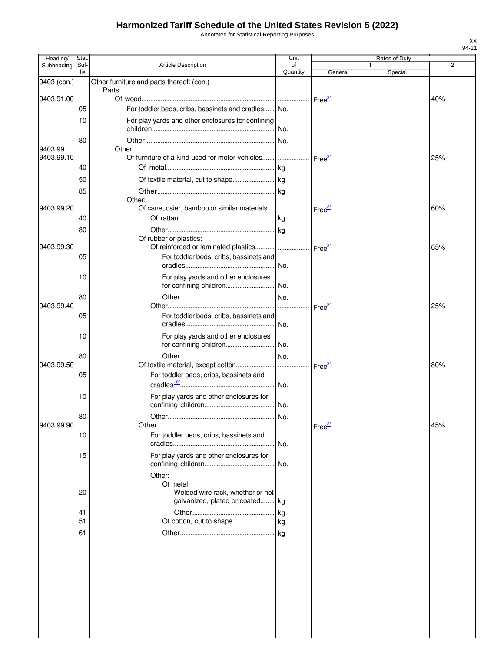Annotated for Statistical Reporting Purposes

| Heading/    | Stat.       |                                                                        | Unit           |                    | Rates of Duty |     |
|-------------|-------------|------------------------------------------------------------------------|----------------|--------------------|---------------|-----|
| Subheading  | Suf-<br>fix | <b>Article Description</b>                                             | of<br>Quantity | General            | 1<br>Special  | 2   |
| 9403 (con.) |             | Other furniture and parts thereof: (con.)                              |                |                    |               |     |
|             |             | Parts:                                                                 |                |                    |               |     |
| 9403.91.00  |             |                                                                        |                |                    |               | 40% |
|             | 05          | For toddler beds, cribs, bassinets and cradles No.                     |                |                    |               |     |
|             | 10          | For play yards and other enclosures for confining                      | No.            |                    |               |     |
|             |             |                                                                        |                |                    |               |     |
| 9403.99     | 80          | Other:                                                                 |                |                    |               |     |
| 9403.99.10  |             | Of furniture of a kind used for motor vehicles      Free <sup>3/</sup> |                |                    |               | 25% |
|             | 40          |                                                                        |                |                    |               |     |
|             | 50          |                                                                        |                |                    |               |     |
|             | 85          |                                                                        |                |                    |               |     |
|             |             | Other:                                                                 |                |                    |               |     |
| 9403.99.20  | 40          |                                                                        | kg             |                    |               | 60% |
|             |             |                                                                        |                |                    |               |     |
|             | 80          | Of rubber or plastics:                                                 |                |                    |               |     |
| 9403.99.30  |             | Of reinforced or laminated plastics    Free3                           |                |                    |               | 65% |
|             | 05          | For toddler beds, cribs, bassinets and                                 |                |                    |               |     |
|             |             |                                                                        | No.            |                    |               |     |
|             | 10          | For play yards and other enclosures                                    |                |                    |               |     |
|             |             |                                                                        |                |                    |               |     |
| 9403.99.40  | 80          |                                                                        |                |                    |               | 25% |
|             | 05          | For toddler beds, cribs, bassinets and                                 |                |                    |               |     |
|             |             |                                                                        | No.            |                    |               |     |
|             | 10          | For play yards and other enclosures                                    |                |                    |               |     |
|             |             |                                                                        |                |                    |               |     |
|             | 80          |                                                                        |                |                    |               |     |
| 9403.99.50  |             |                                                                        |                |                    |               | 80% |
|             | 05          | For toddler beds, cribs, bassinets and                                 |                |                    |               |     |
|             | 10          | For play yards and other enclosures for                                |                |                    |               |     |
|             |             |                                                                        |                |                    |               |     |
|             | 80          |                                                                        |                |                    |               |     |
| 9403.99.90  |             |                                                                        |                | Free <sup>37</sup> |               | 45% |
|             | 10          | For toddler beds, cribs, bassinets and                                 |                |                    |               |     |
|             |             |                                                                        | .INo.          |                    |               |     |
|             | 15          | For play yards and other enclosures for                                | No.            |                    |               |     |
|             |             |                                                                        |                |                    |               |     |
|             |             | Other:<br>Of metal:                                                    |                |                    |               |     |
|             | 20          | Welded wire rack, whether or not                                       |                |                    |               |     |
|             |             | galvanized, plated or coated kg                                        |                |                    |               |     |
|             | 41          |                                                                        |                |                    |               |     |
|             | 51          |                                                                        |                |                    |               |     |
|             | 61          |                                                                        |                |                    |               |     |
|             |             |                                                                        |                |                    |               |     |
|             |             |                                                                        |                |                    |               |     |
|             |             |                                                                        |                |                    |               |     |
|             |             |                                                                        |                |                    |               |     |
|             |             |                                                                        |                |                    |               |     |
|             |             |                                                                        |                |                    |               |     |
|             |             |                                                                        |                |                    |               |     |
|             |             |                                                                        |                |                    |               |     |
|             |             |                                                                        |                |                    |               |     |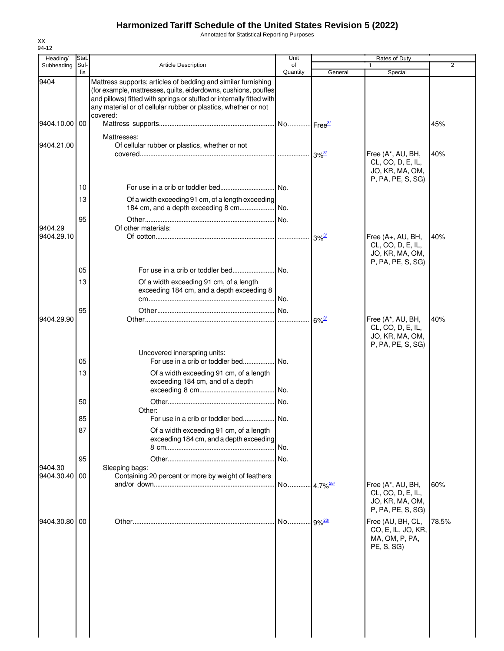Annotated for Statistical Reporting Purposes

| Heading/                 | Stat.       |                                                                                                                                                                                                                                                                                         | Unit                   |                      | Rates of Duty                                                                  |                |
|--------------------------|-------------|-----------------------------------------------------------------------------------------------------------------------------------------------------------------------------------------------------------------------------------------------------------------------------------------|------------------------|----------------------|--------------------------------------------------------------------------------|----------------|
| Subheading               | Suf-<br>fix | <b>Article Description</b>                                                                                                                                                                                                                                                              | of<br>Quantity         | General              | 1<br>Special                                                                   | $\overline{2}$ |
| 9404                     |             | Mattress supports; articles of bedding and similar furnishing<br>(for example, mattresses, quilts, eiderdowns, cushions, pouffes<br>and pillows) fitted with springs or stuffed or internally fitted with<br>any material or of cellular rubber or plastics, whether or not<br>covered: |                        |                      |                                                                                |                |
| 9404.10.00 00            |             |                                                                                                                                                                                                                                                                                         |                        |                      |                                                                                | 45%            |
| 9404.21.00               |             | Mattresses:<br>Of cellular rubber or plastics, whether or not                                                                                                                                                                                                                           |                        | $3\%$ <sup>3/</sup>  | Free (A*, AU, BH,<br>CL, CO, D, E, IL,                                         | 40%            |
|                          |             |                                                                                                                                                                                                                                                                                         |                        |                      | JO, KR, MA, OM,<br>P, PA, PE, S, SG)                                           |                |
|                          | 10          |                                                                                                                                                                                                                                                                                         |                        |                      |                                                                                |                |
|                          | 13<br>95    | Of a width exceeding 91 cm, of a length exceeding<br>184 cm, and a depth exceeding 8 cm No.                                                                                                                                                                                             |                        |                      |                                                                                |                |
| 9404.29<br>9404.29.10    |             | Of other materials:                                                                                                                                                                                                                                                                     |                        |                      |                                                                                |                |
|                          |             |                                                                                                                                                                                                                                                                                         |                        | $3\%$ <sup>3/</sup>  | Free (A+, AU, BH,<br>CL, CO, D, E, IL,<br>JO, KR, MA, OM,                      | 40%            |
|                          | 05          |                                                                                                                                                                                                                                                                                         | No.                    |                      | P, PA, PE, S, SG)                                                              |                |
|                          | 13          | Of a width exceeding 91 cm, of a length<br>exceeding 184 cm, and a depth exceeding 8                                                                                                                                                                                                    |                        |                      |                                                                                |                |
|                          | 95          |                                                                                                                                                                                                                                                                                         | I No.                  |                      |                                                                                |                |
| 9404.29.90               |             |                                                                                                                                                                                                                                                                                         | .                      | $6\%$ <sup>3/</sup>  | Free (A*, AU, BH,<br>CL, CO, D, E, IL,<br>JO, KR, MA, OM,                      | 40%            |
|                          | 05          | Uncovered innerspring units:                                                                                                                                                                                                                                                            |                        |                      | P, PA, PE, S, SG)                                                              |                |
|                          | 13          | Of a width exceeding 91 cm, of a length<br>exceeding 184 cm, and of a depth                                                                                                                                                                                                             |                        |                      |                                                                                |                |
|                          | 50          |                                                                                                                                                                                                                                                                                         |                        |                      |                                                                                |                |
|                          | 85          | Other:<br>For use in a crib or toddler bed                                                                                                                                                                                                                                              | No.                    |                      |                                                                                |                |
|                          | 87          | Of a width exceeding 91 cm, of a length<br>exceeding 184 cm, and a depth exceeding                                                                                                                                                                                                      |                        |                      |                                                                                |                |
|                          | 95          |                                                                                                                                                                                                                                                                                         | No.<br>No.             |                      |                                                                                |                |
| 9404.30<br>9404.30.40 00 |             | Sleeping bags:<br>Containing 20 percent or more by weight of feathers                                                                                                                                                                                                                   |                        |                      |                                                                                |                |
|                          |             |                                                                                                                                                                                                                                                                                         | No 4.7% <sup>28/</sup> |                      | Free (A*, AU, BH,<br>CL, CO, D, E, IL,<br>JO, KR, MA, OM,<br>P, PA, PE, S, SG) | 60%            |
| 9404.30.80               | 00          |                                                                                                                                                                                                                                                                                         | No                     | $9\%$ <sup>28/</sup> | Free (AU, BH, CL,<br>CO, E, IL, JO, KR,<br>MA, OM, P, PA,<br>PE, S, SG)        | 78.5%          |
|                          |             |                                                                                                                                                                                                                                                                                         |                        |                      |                                                                                |                |
|                          |             |                                                                                                                                                                                                                                                                                         |                        |                      |                                                                                |                |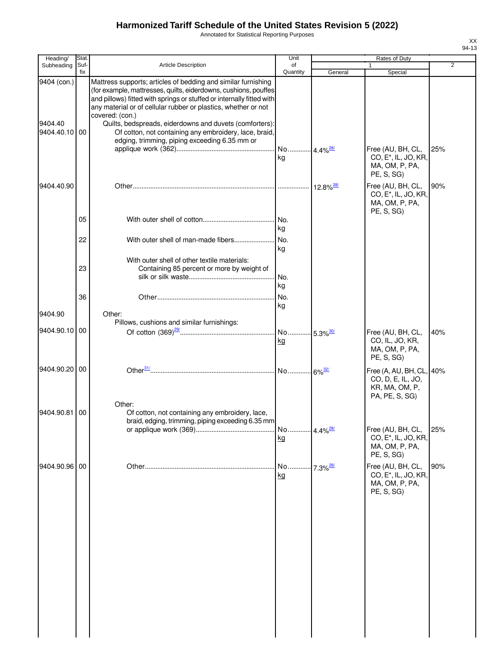Annotated for Statistical Reporting Purposes

| Heading/                                | Stat.       |                                                                                                                                                                                                                                                                                                                                                                                                                                                                      | Unit                         |                         | Rates of Duty                                                                         |                |
|-----------------------------------------|-------------|----------------------------------------------------------------------------------------------------------------------------------------------------------------------------------------------------------------------------------------------------------------------------------------------------------------------------------------------------------------------------------------------------------------------------------------------------------------------|------------------------------|-------------------------|---------------------------------------------------------------------------------------|----------------|
| Subheading                              | Suf-<br>fix | <b>Article Description</b>                                                                                                                                                                                                                                                                                                                                                                                                                                           | of<br>Quantity               | General                 | 1<br>Special                                                                          | $\overline{2}$ |
| 9404 (con.)<br>9404.40<br>9404.40.10 00 |             | Mattress supports; articles of bedding and similar furnishing<br>(for example, mattresses, quilts, eiderdowns, cushions, pouffes<br>and pillows) fitted with springs or stuffed or internally fitted with<br>any material or of cellular rubber or plastics, whether or not<br>covered: (con.)<br>Quilts, bedspreads, eiderdowns and duvets (comforters):<br>Of cotton, not containing any embroidery, lace, braid,<br>edging, trimming, piping exceeding 6.35 mm or | No 4.4% <sup>28/</sup><br>kg |                         | Free (AU, BH, CL,<br>CO, E <sup>*</sup> , IL, JO, KR,<br>MA, OM, P, PA,<br>PE, S, SG) | 25%            |
| 9404.40.90                              |             |                                                                                                                                                                                                                                                                                                                                                                                                                                                                      |                              | 12.8% <sup>28/</sup>    | Free (AU, BH, CL,<br>CO, E <sup>*</sup> , IL, JO, KR,<br>MA, OM, P, PA,<br>PE, S, SG) | 90%            |
|                                         | 05          |                                                                                                                                                                                                                                                                                                                                                                                                                                                                      | kg                           |                         |                                                                                       |                |
|                                         | 22          | With outer shell of man-made fibers                                                                                                                                                                                                                                                                                                                                                                                                                                  | No.<br>kg                    |                         |                                                                                       |                |
|                                         | 23          | With outer shell of other textile materials:<br>Containing 85 percent or more by weight of                                                                                                                                                                                                                                                                                                                                                                           | No.<br>kg                    |                         |                                                                                       |                |
|                                         | 36          |                                                                                                                                                                                                                                                                                                                                                                                                                                                                      | No.<br>kg                    |                         |                                                                                       |                |
| 9404.90                                 |             | Other:<br>Pillows, cushions and similar furnishings:                                                                                                                                                                                                                                                                                                                                                                                                                 |                              |                         |                                                                                       |                |
| 9404.90.10 00                           |             |                                                                                                                                                                                                                                                                                                                                                                                                                                                                      | No 5.3% <sup>30/</sup><br>kg |                         | Free (AU, BH, CL,<br>CO, IL, JO, KR,<br>MA, OM, P, PA,<br>PE, S, SG)                  | 40%            |
| 9404.90.20 00                           |             |                                                                                                                                                                                                                                                                                                                                                                                                                                                                      |                              |                         | Free (A, AU, BH, CL,<br>CO, D, E, IL, JO,<br>KR, MA, OM, P,<br>PA, PE, S, SG)         | 40%            |
| 9404.90.81 00                           |             | Other:<br>Of cotton, not containing any embroidery, lace,<br>braid, edging, trimming, piping exceeding 6.35 mm                                                                                                                                                                                                                                                                                                                                                       | No 4.4% <sup>28/</sup><br>kg |                         | Free (AU, BH, CL,<br>CO, E <sup>*</sup> , IL, JO, KR,<br>MA, OM, P, PA,<br>PE, S, SG) | 25%            |
| 9404.90.96 00                           |             |                                                                                                                                                                                                                                                                                                                                                                                                                                                                      | No<br>kg                     | $.7.3\%$ <sup>28/</sup> | Free (AU, BH, CL,<br>CO, E <sup>*</sup> , IL, JO, KR,<br>MA, OM, P, PA,<br>PE, S, SG) | 90%            |
|                                         |             |                                                                                                                                                                                                                                                                                                                                                                                                                                                                      |                              |                         |                                                                                       |                |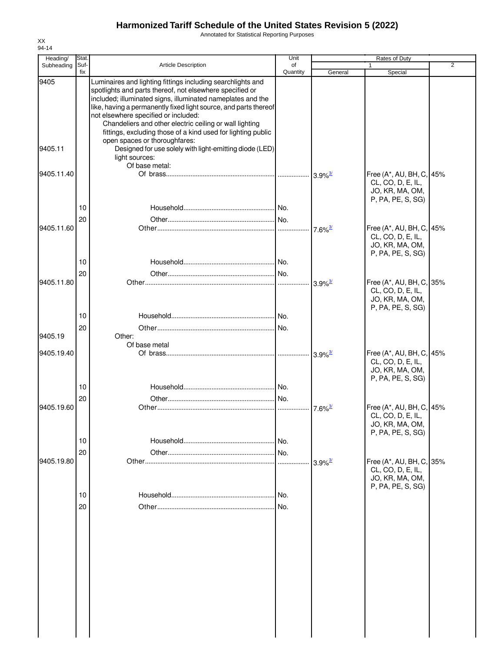Annotated for Statistical Reporting Purposes

| Heading/   | Stat.       |                                                                                                                                                                                                                                                                                                                                                                                                                                                                | Unit           |                       | Rates of Duty                                                                         |                |
|------------|-------------|----------------------------------------------------------------------------------------------------------------------------------------------------------------------------------------------------------------------------------------------------------------------------------------------------------------------------------------------------------------------------------------------------------------------------------------------------------------|----------------|-----------------------|---------------------------------------------------------------------------------------|----------------|
| Subheading | Suf-<br>fix | <b>Article Description</b>                                                                                                                                                                                                                                                                                                                                                                                                                                     | of<br>Quantity | General               | Special                                                                               | $\overline{2}$ |
| 9405       |             | Luminaires and lighting fittings including searchlights and<br>spotlights and parts thereof, not elsewhere specified or<br>included; illuminated signs, illuminated nameplates and the<br>like, having a permanently fixed light source, and parts thereof<br>not elsewhere specified or included:<br>Chandeliers and other electric ceiling or wall lighting<br>fittings, excluding those of a kind used for lighting public<br>open spaces or thoroughfares: |                |                       |                                                                                       |                |
| 9405.11    |             | Designed for use solely with light-emitting diode (LED)<br>light sources:<br>Of base metal:                                                                                                                                                                                                                                                                                                                                                                    |                |                       |                                                                                       |                |
| 9405.11.40 |             |                                                                                                                                                                                                                                                                                                                                                                                                                                                                |                | $3.9\%$ <sup>3/</sup> | Free (A*, AU, BH, C, 45%<br>CL, CO, D, E, IL,<br>JO, KR, MA, OM,<br>P, PA, PE, S, SG) |                |
|            | 10          |                                                                                                                                                                                                                                                                                                                                                                                                                                                                |                |                       |                                                                                       |                |
| 9405.11.60 | 20          |                                                                                                                                                                                                                                                                                                                                                                                                                                                                |                | $7.6\%$ <sup>3/</sup> | Free (A*, AU, BH, C, 45%<br>CL, CO, D, E, IL,<br>JO, KR, MA, OM,                      |                |
|            | 10<br>20    |                                                                                                                                                                                                                                                                                                                                                                                                                                                                |                |                       | P, PA, PE, S, SG)                                                                     |                |
| 9405.11.80 |             |                                                                                                                                                                                                                                                                                                                                                                                                                                                                |                | $3.9\%$ <sup>3/</sup> | Free (A*, AU, BH, C, 35%<br>CL, CO, D, E, IL,<br>JO, KR, MA, OM,<br>P, PA, PE, S, SG) |                |
|            | 10          |                                                                                                                                                                                                                                                                                                                                                                                                                                                                |                |                       |                                                                                       |                |
| 9405.19    | 20          | Other:<br>Of base metal                                                                                                                                                                                                                                                                                                                                                                                                                                        |                |                       |                                                                                       |                |
| 9405.19.40 |             |                                                                                                                                                                                                                                                                                                                                                                                                                                                                |                | $3.9\%$ <sup>3/</sup> | Free (A*, AU, BH, C, 45%<br>CL, CO, D, E, IL,<br>JO, KR, MA, OM,<br>P, PA, PE, S, SG) |                |
|            | 10          |                                                                                                                                                                                                                                                                                                                                                                                                                                                                |                |                       |                                                                                       |                |
| 9405.19.60 | 20          |                                                                                                                                                                                                                                                                                                                                                                                                                                                                |                | $7.6\%$ <sup>3/</sup> | Free (A*, AU, BH, C, 45%<br>CL, CO, D, E, IL,<br>JO, KR, MA, OM,                      |                |
|            | 10          |                                                                                                                                                                                                                                                                                                                                                                                                                                                                | I No.          |                       | P, PA, PE, S, SG)                                                                     |                |
| 9405.19.80 | 20          |                                                                                                                                                                                                                                                                                                                                                                                                                                                                | No.            | $3.9\%$ <sup>3/</sup> | Free (A*, AU, BH, C, 35%<br>CL, CO, D, E, IL,                                         |                |
|            | 10<br>20    |                                                                                                                                                                                                                                                                                                                                                                                                                                                                | No.<br>I No.   |                       | JO, KR, MA, OM,<br>P, PA, PE, S, SG)                                                  |                |
|            |             |                                                                                                                                                                                                                                                                                                                                                                                                                                                                |                |                       |                                                                                       |                |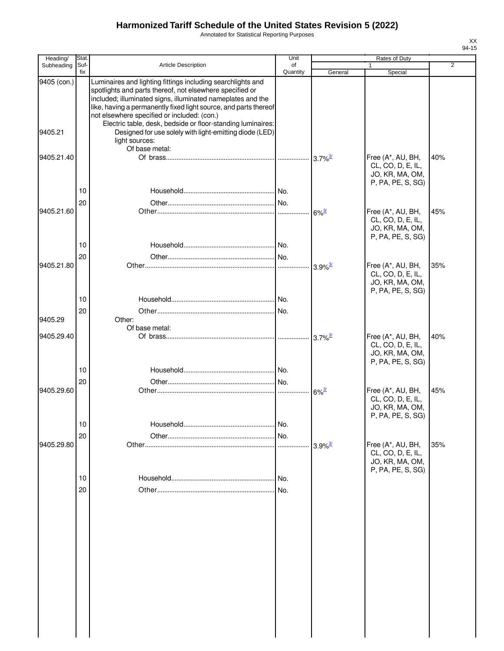Annotated for Statistical Reporting Purposes

| Heading/               | Stat.       |                                                                                                                                                                                                                                                                                                                                                                                                                                     | Unit           |                       | Rates of Duty                                                                  |                |
|------------------------|-------------|-------------------------------------------------------------------------------------------------------------------------------------------------------------------------------------------------------------------------------------------------------------------------------------------------------------------------------------------------------------------------------------------------------------------------------------|----------------|-----------------------|--------------------------------------------------------------------------------|----------------|
| Subheading             | Suf-<br>fix | Article Description                                                                                                                                                                                                                                                                                                                                                                                                                 | of<br>Quantity | General               | Special                                                                        | $\overline{2}$ |
| 9405 (con.)<br>9405.21 |             | Luminaires and lighting fittings including searchlights and<br>spotlights and parts thereof, not elsewhere specified or<br>included; illuminated signs, illuminated nameplates and the<br>like, having a permanently fixed light source, and parts thereof<br>not elsewhere specified or included: (con.)<br>Electric table, desk, bedside or floor-standing luminaires:<br>Designed for use solely with light-emitting diode (LED) |                |                       |                                                                                |                |
|                        |             | light sources:<br>Of base metal:                                                                                                                                                                                                                                                                                                                                                                                                    |                |                       |                                                                                |                |
| 9405.21.40             |             |                                                                                                                                                                                                                                                                                                                                                                                                                                     |                | $3.7\%$ <sup>3/</sup> | Free (A*, AU, BH,<br>CL, CO, D, E, IL,<br>JO, KR, MA, OM,                      | 40%            |
|                        | 10          |                                                                                                                                                                                                                                                                                                                                                                                                                                     |                |                       | P, PA, PE, S, SG)                                                              |                |
|                        | 20          |                                                                                                                                                                                                                                                                                                                                                                                                                                     |                |                       |                                                                                |                |
| 9405.21.60             |             |                                                                                                                                                                                                                                                                                                                                                                                                                                     |                | $6\%$ <sup>3/</sup>   | Free (A*, AU, BH,<br>CL, CO, D, E, IL,<br>JO, KR, MA, OM,<br>P, PA, PE, S, SG) | 45%            |
|                        | 10          |                                                                                                                                                                                                                                                                                                                                                                                                                                     |                |                       |                                                                                |                |
| 9405.21.80             | 20          |                                                                                                                                                                                                                                                                                                                                                                                                                                     |                | $3.9\%$ <sup>3/</sup> | Free (A*, AU, BH,<br>CL, CO, D, E, IL,<br>JO, KR, MA, OM,<br>P, PA, PE, S, SG) | 35%            |
|                        | 10          |                                                                                                                                                                                                                                                                                                                                                                                                                                     |                |                       |                                                                                |                |
| 9405.29                | 20          | Other:<br>Of base metal:                                                                                                                                                                                                                                                                                                                                                                                                            |                |                       |                                                                                |                |
| 9405.29.40             |             |                                                                                                                                                                                                                                                                                                                                                                                                                                     |                | $3.7\%$ <sup>3/</sup> | Free (A*, AU, BH,<br>CL, CO, D, E, IL,<br>JO, KR, MA, OM,<br>P, PA, PE, S, SG) | 40%            |
|                        | 10<br>20    |                                                                                                                                                                                                                                                                                                                                                                                                                                     |                |                       |                                                                                |                |
| 9405.29.60             |             |                                                                                                                                                                                                                                                                                                                                                                                                                                     |                | $6\%$ <sup>3/</sup>   | Free (A*, AU, BH,<br>CL, CO, D, E, IL,<br>JO, KR, MA, OM,<br>P, PA, PE, S, SG) | 45%            |
|                        | 10<br>20    |                                                                                                                                                                                                                                                                                                                                                                                                                                     | No.<br>I No.   |                       |                                                                                |                |
| 9405.29.80             |             |                                                                                                                                                                                                                                                                                                                                                                                                                                     |                | $3.9\%$ <sup>3/</sup> | Free (A*, AU, BH,<br>CL, CO, D, E, IL,<br>JO, KR, MA, OM,<br>P, PA, PE, S, SG) | 35%            |
|                        | 10          |                                                                                                                                                                                                                                                                                                                                                                                                                                     | No.            |                       |                                                                                |                |
|                        | 20          |                                                                                                                                                                                                                                                                                                                                                                                                                                     |                |                       |                                                                                |                |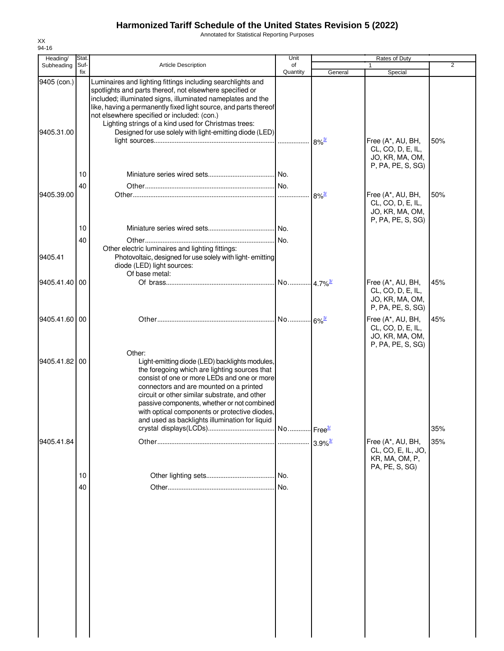Annotated for Statistical Reporting Purposes

| Heading/                  | Stat.       |                                                                                                                                                                                                                                                                                                                                                                                                                              | Unit           |                       | Rates of Duty                                                                  |                |
|---------------------------|-------------|------------------------------------------------------------------------------------------------------------------------------------------------------------------------------------------------------------------------------------------------------------------------------------------------------------------------------------------------------------------------------------------------------------------------------|----------------|-----------------------|--------------------------------------------------------------------------------|----------------|
| Subheading                | Suf-<br>fix | <b>Article Description</b>                                                                                                                                                                                                                                                                                                                                                                                                   | of<br>Quantity | General               | 1<br>Special                                                                   | $\overline{2}$ |
| 9405 (con.)<br>9405.31.00 |             | Luminaires and lighting fittings including searchlights and<br>spotlights and parts thereof, not elsewhere specified or<br>included; illuminated signs, illuminated nameplates and the<br>like, having a permanently fixed light source, and parts thereof<br>not elsewhere specified or included: (con.)<br>Lighting strings of a kind used for Christmas trees:<br>Designed for use solely with light-emitting diode (LED) |                |                       |                                                                                |                |
|                           | 10          |                                                                                                                                                                                                                                                                                                                                                                                                                              |                | $8\%$ <sup>3/</sup>   | Free (A*, AU, BH,<br>CL, CO, D, E, IL,<br>JO, KR, MA, OM,<br>P, PA, PE, S, SG) | 50%            |
| 9405.39.00                | 40          |                                                                                                                                                                                                                                                                                                                                                                                                                              |                | $8\%$ <sup>3/</sup>   | Free (A*, AU, BH,<br>CL, CO, D, E, IL,<br>JO, KR, MA, OM,<br>P, PA, PE, S, SG) | 50%            |
| 9405.41                   | 10<br>40    | Other electric luminaires and lighting fittings:<br>Photovoltaic, designed for use solely with light-emitting<br>diode (LED) light sources:                                                                                                                                                                                                                                                                                  |                |                       |                                                                                |                |
| 9405.41.40                | 00          | Of base metal:                                                                                                                                                                                                                                                                                                                                                                                                               |                |                       | Free (A*, AU, BH,<br>CL, CO, D, E, IL,<br>JO, KR, MA, OM,<br>P, PA, PE, S, SG) | 45%            |
| 9405.41.60 00             |             |                                                                                                                                                                                                                                                                                                                                                                                                                              |                |                       | Free (A*, AU, BH,<br>CL, CO, D, E, IL,<br>JO, KR, MA, OM,<br>P, PA, PE, S, SG) | 45%            |
| 9405.41.82                | 00          | Other:<br>Light-emitting diode (LED) backlights modules,<br>the foregoing which are lighting sources that<br>consist of one or more LEDs and one or more<br>connectors and are mounted on a printed<br>circuit or other similar substrate, and other<br>passive components, whether or not combined<br>with optical components or protective diodes,<br>and used as backlights illumination for liquid                       |                |                       |                                                                                |                |
|                           |             |                                                                                                                                                                                                                                                                                                                                                                                                                              |                | Free <sup>3/</sup>    |                                                                                | 35%            |
| 9405.41.84                |             |                                                                                                                                                                                                                                                                                                                                                                                                                              |                | $3.9\%$ <sup>3/</sup> | Free (A*, AU, BH,<br>CL, CO, E, IL, JO,<br>KR, MA, OM, P,<br>PA, PE, S, SG)    | 35%            |
|                           | 10<br>40    |                                                                                                                                                                                                                                                                                                                                                                                                                              |                |                       |                                                                                |                |
|                           |             |                                                                                                                                                                                                                                                                                                                                                                                                                              |                |                       |                                                                                |                |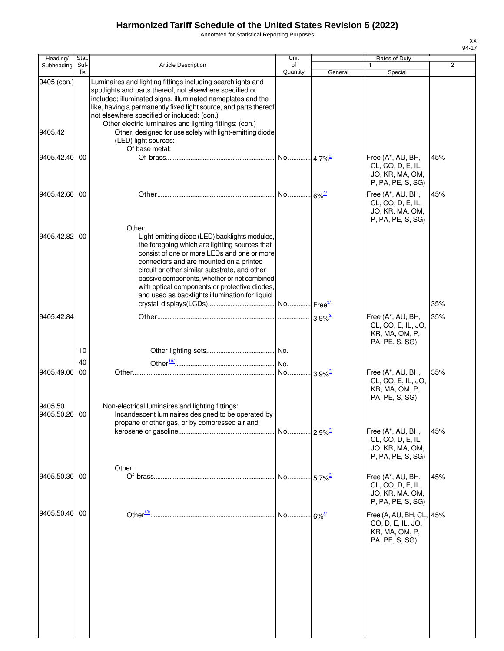Annotated for Statistical Reporting Purposes

| Heading/<br>Subheading   | Stat.<br>Suf- | <b>Article Description</b>                                                                                                                                                                                                                                                                                                                                                                             | Unit<br>of            |                       | Rates of Duty<br>$\mathbf{1}$                                                     | 2   |
|--------------------------|---------------|--------------------------------------------------------------------------------------------------------------------------------------------------------------------------------------------------------------------------------------------------------------------------------------------------------------------------------------------------------------------------------------------------------|-----------------------|-----------------------|-----------------------------------------------------------------------------------|-----|
|                          | fix           |                                                                                                                                                                                                                                                                                                                                                                                                        | Quantity              | General               | Special                                                                           |     |
| 9405 (con.)              |               | Luminaires and lighting fittings including searchlights and<br>spotlights and parts thereof, not elsewhere specified or<br>included; illuminated signs, illuminated nameplates and the<br>like, having a permanently fixed light source, and parts thereof<br>not elsewhere specified or included: (con.)<br>Other electric luminaires and lighting fittings: (con.)                                   |                       |                       |                                                                                   |     |
| 9405.42                  |               | Other, designed for use solely with light-emitting diode<br>(LED) light sources:<br>Of base metal:                                                                                                                                                                                                                                                                                                     |                       |                       |                                                                                   |     |
| 9405.42.40 00            |               |                                                                                                                                                                                                                                                                                                                                                                                                        |                       |                       | Free (A*, AU, BH,<br>CL, CO, D, E, IL,<br>JO, KR, MA, OM,<br>P, PA, PE, S, SG)    | 45% |
| 9405.42.60 00            |               |                                                                                                                                                                                                                                                                                                                                                                                                        |                       |                       | Free (A*, AU, BH,<br>CL, CO, D, E, IL,<br>JO, KR, MA, OM,<br>P, PA, PE, S, SG)    | 45% |
| 9405.42.82 00            |               | Other:<br>Light-emitting diode (LED) backlights modules,<br>the foregoing which are lighting sources that<br>consist of one or more LEDs and one or more<br>connectors and are mounted on a printed<br>circuit or other similar substrate, and other<br>passive components, whether or not combined<br>with optical components or protective diodes,<br>and used as backlights illumination for liquid |                       |                       |                                                                                   |     |
|                          |               |                                                                                                                                                                                                                                                                                                                                                                                                        |                       |                       |                                                                                   | 35% |
| 9405.42.84               | 10            |                                                                                                                                                                                                                                                                                                                                                                                                        |                       |                       | Free (A*, AU, BH,<br>CL, CO, E, IL, JO,<br>KR, MA, OM, P,<br>PA, PE, S, SG)       | 35% |
|                          | 40            |                                                                                                                                                                                                                                                                                                                                                                                                        |                       |                       |                                                                                   |     |
| 9405.49.00               | 00            |                                                                                                                                                                                                                                                                                                                                                                                                        |                       |                       | Free (A*, AU, BH,<br>CL, CO, E, IL, JO,<br>KR, MA, OM, P,<br>PA, PE, S, SG)       | 35% |
| 9405.50<br>9405.50.20 00 |               | Non-electrical luminaires and lighting fittings:<br>Incandescent luminaires designed to be operated by<br>propane or other gas, or by compressed air and                                                                                                                                                                                                                                               |                       |                       |                                                                                   |     |
|                          |               |                                                                                                                                                                                                                                                                                                                                                                                                        | No 2.9% <sup>3/</sup> |                       | Free (A*, AU, BH,<br>CL, CO, D, E, IL,<br>JO, KR, MA, OM,<br>P, PA, PE, S, SG)    | 45% |
| 9405.50.30 00            |               | Other:                                                                                                                                                                                                                                                                                                                                                                                                 | No                    | $5.7\%$ <sup>3/</sup> | Free (A*, AU, BH,<br>CL, CO, D, E, IL,<br>JO, KR, MA, OM,<br>P, PA, PE, S, SG)    | 45% |
| 9405.50.40               | 00            |                                                                                                                                                                                                                                                                                                                                                                                                        | No                    | $6\%$ <sup>3/</sup>   | Free (A, AU, BH, CL, 45%<br>CO, D, E, IL, JO,<br>KR, MA, OM, P,<br>PA, PE, S, SG) |     |
|                          |               |                                                                                                                                                                                                                                                                                                                                                                                                        |                       |                       |                                                                                   |     |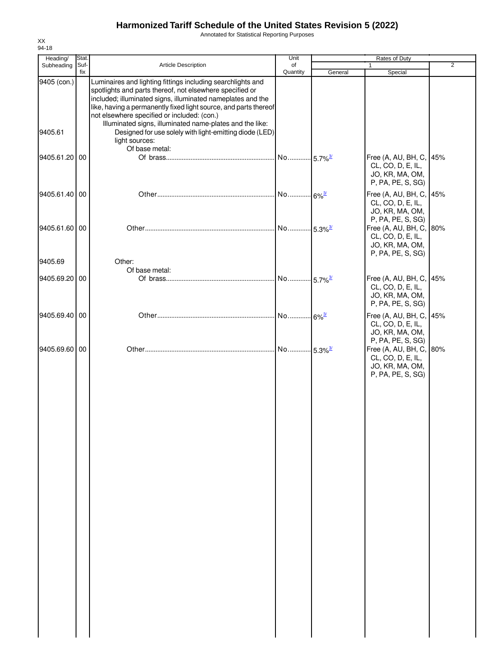Annotated for Statistical Reporting Purposes

| 94-18                  |               |                                                                                                                                                                                                                                                                                                                                                                       |                        |         |                                                                                      |                |
|------------------------|---------------|-----------------------------------------------------------------------------------------------------------------------------------------------------------------------------------------------------------------------------------------------------------------------------------------------------------------------------------------------------------------------|------------------------|---------|--------------------------------------------------------------------------------------|----------------|
| Heading/<br>Subheading | Stat.<br>Suf- | <b>Article Description</b>                                                                                                                                                                                                                                                                                                                                            | Unit<br>of             |         | Rates of Duty                                                                        | $\overline{2}$ |
|                        | fix           |                                                                                                                                                                                                                                                                                                                                                                       | Quantity               | General | Special                                                                              |                |
| 9405 (con.)            |               | Luminaires and lighting fittings including searchlights and<br>spotlights and parts thereof, not elsewhere specified or<br>included; illuminated signs, illuminated nameplates and the<br>like, having a permanently fixed light source, and parts thereof<br>not elsewhere specified or included: (con.)<br>Illuminated signs, illuminated name-plates and the like: |                        |         |                                                                                      |                |
| 9405.61                |               | Designed for use solely with light-emitting diode (LED)<br>light sources:<br>Of base metal:                                                                                                                                                                                                                                                                           |                        |         |                                                                                      |                |
| 9405.61.20 00          |               |                                                                                                                                                                                                                                                                                                                                                                       | No  5.7% <sup>3/</sup> |         | Free (A, AU, BH, C, 45%<br>CL, CO, D, E, IL,<br>JO, KR, MA, OM,<br>P, PA, PE, S, SG) |                |
| 9405.61.40 00          |               |                                                                                                                                                                                                                                                                                                                                                                       | No 6% <sup>3/</sup>    |         | Free (A, AU, BH, C, 45%<br>CL, CO, D, E, IL,<br>JO, KR, MA, OM,<br>P, PA, PE, S, SG) |                |
| 9405.61.60 00          |               |                                                                                                                                                                                                                                                                                                                                                                       | No 5.3% <sup>3/</sup>  |         | Free (A, AU, BH, C, 80%<br>CL, CO, D, E, IL,<br>JO, KR, MA, OM,<br>P, PA, PE, S, SG) |                |
| 9405.69                |               | Other:                                                                                                                                                                                                                                                                                                                                                                |                        |         |                                                                                      |                |
| 9405.69.20 00          |               | Of base metal:                                                                                                                                                                                                                                                                                                                                                        | No 5.7% <sup>3/</sup>  |         | Free (A, AU, BH, C, 45%<br>CL, CO, D, E, IL,<br>JO, KR, MA, OM,<br>P, PA, PE, S, SG) |                |
| 9405.69.40 00          |               |                                                                                                                                                                                                                                                                                                                                                                       |                        |         | Free (A, AU, BH, C, 45%<br>CL, CO, D, E, IL,<br>JO, KR, MA, OM,<br>P, PA, PE, S, SG) |                |
| 9405.69.60 00          |               |                                                                                                                                                                                                                                                                                                                                                                       | No 5.3% <sup>3/</sup>  |         | Free (A, AU, BH, C, 80%<br>CL, CO, D, E, IL,<br>JO, KR, MA, OM,<br>P, PA, PE, S, SG) |                |

XX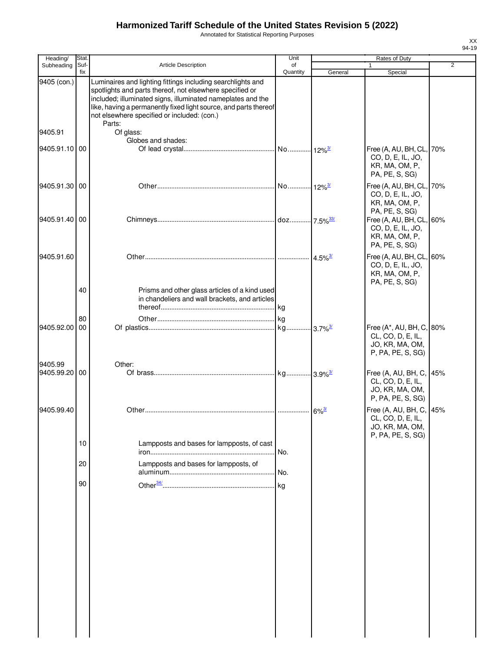Annotated for Statistical Reporting Purposes

| Heading/                 | Stat.            |                                                                                                                                                                                                                                                                                                                     | Unit           | Rates of Duty         |                                                                                       |                |  |
|--------------------------|------------------|---------------------------------------------------------------------------------------------------------------------------------------------------------------------------------------------------------------------------------------------------------------------------------------------------------------------|----------------|-----------------------|---------------------------------------------------------------------------------------|----------------|--|
| Subheading               | Suf-<br>fix      | Article Description                                                                                                                                                                                                                                                                                                 | of<br>Quantity | General               | 1<br>Special                                                                          | $\overline{2}$ |  |
| 9405 (con.)              |                  | Luminaires and lighting fittings including searchlights and<br>spotlights and parts thereof, not elsewhere specified or<br>included; illuminated signs, illuminated nameplates and the<br>like, having a permanently fixed light source, and parts thereof<br>not elsewhere specified or included: (con.)<br>Parts: |                |                       |                                                                                       |                |  |
| 9405.91                  |                  | Of glass:                                                                                                                                                                                                                                                                                                           |                |                       |                                                                                       |                |  |
|                          |                  | Globes and shades:                                                                                                                                                                                                                                                                                                  |                |                       |                                                                                       |                |  |
| 9405.91.10 00            |                  |                                                                                                                                                                                                                                                                                                                     |                |                       | Free (A, AU, BH, CL, 70%<br>CO, D, E, IL, JO,<br>KR, MA, OM, P,<br>PA, PE, S, SG)     |                |  |
| 9405.91.30 00            |                  |                                                                                                                                                                                                                                                                                                                     |                |                       | Free (A, AU, BH, CL, 70%<br>CO, D, E, IL, JO,<br>KR, MA, OM, P,<br>PA, PE, S, SG)     |                |  |
| 9405.91.40 00            |                  |                                                                                                                                                                                                                                                                                                                     |                |                       | Free (A, AU, BH, CL, 60%<br>CO, D, E, IL, JO,<br>KR, MA, OM, P,<br>PA, PE, S, SG)     |                |  |
| 9405.91.60               |                  |                                                                                                                                                                                                                                                                                                                     |                | $4.5\%$ <sup>3/</sup> | Free (A, AU, BH, CL, 60%<br>CO, D, E, IL, JO,<br>KR, MA, OM, P,<br>PA, PE, S, SG)     |                |  |
|                          | 40               | Prisms and other glass articles of a kind used<br>in chandeliers and wall brackets, and articles                                                                                                                                                                                                                    |                |                       |                                                                                       |                |  |
|                          | 80               |                                                                                                                                                                                                                                                                                                                     |                |                       |                                                                                       |                |  |
| 9405.92.00 00            |                  |                                                                                                                                                                                                                                                                                                                     |                |                       | Free (A*, AU, BH, C, 80%<br>CL, CO, D, E, IL,<br>JO, KR, MA, OM,<br>P, PA, PE, S, SG) |                |  |
| 9405.99<br>9405.99.20 00 |                  | Other:                                                                                                                                                                                                                                                                                                              |                |                       | Free (A, AU, BH, C, 45%<br>CL, CO, D, E, IL,<br>JO, KR, MA, OM,<br>P, PA, PE, S, SG)  |                |  |
| 9405.99.40               |                  |                                                                                                                                                                                                                                                                                                                     |                | $6\%$ <sup>3/</sup>   | Free (A, AU, BH, C, 45%<br>CL, CO, D, E, IL,<br>JO, KR, MA, OM,<br>P, PA, PE, S, SG)  |                |  |
|                          | 10 <sup>10</sup> | Lampposts and bases for lampposts, of cast                                                                                                                                                                                                                                                                          |                |                       |                                                                                       |                |  |
|                          |                  |                                                                                                                                                                                                                                                                                                                     |                |                       |                                                                                       |                |  |
|                          | 20               | Lampposts and bases for lampposts, of                                                                                                                                                                                                                                                                               |                |                       |                                                                                       |                |  |
|                          |                  |                                                                                                                                                                                                                                                                                                                     |                |                       |                                                                                       |                |  |
|                          | 90               |                                                                                                                                                                                                                                                                                                                     |                |                       |                                                                                       |                |  |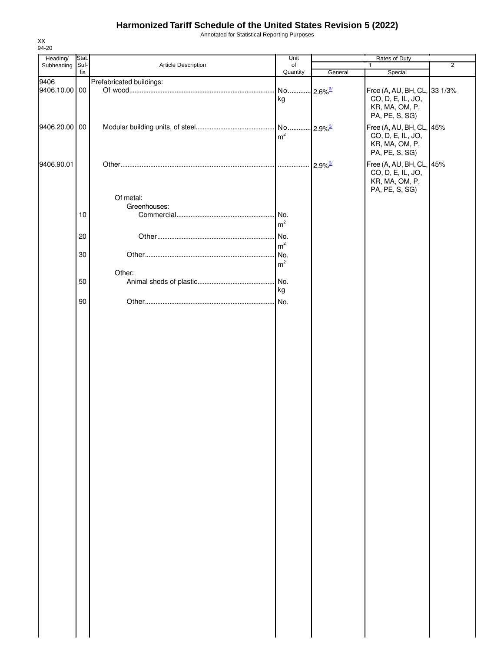Annotated for Statistical Reporting Purposes

| Heading/      | Stat. |                          | Unit                  | Rates of Duty         |                              |                |
|---------------|-------|--------------------------|-----------------------|-----------------------|------------------------------|----------------|
| Subheading    | Suf-  | Article Description      | of                    |                       | $\mathbf{1}$                 | $\overline{2}$ |
|               | fix   |                          | Quantity              | General               | Special                      |                |
| 9406          |       | Prefabricated buildings: |                       |                       |                              |                |
| 9406.10.00 00 |       |                          | No 2.6% <sup>3/</sup> |                       | Free (A, AU, BH, CL, 33 1/3% |                |
|               |       |                          | kg                    |                       | CO, D, E, IL, JO,            |                |
|               |       |                          |                       |                       | KR, MA, OM, P,               |                |
|               |       |                          |                       |                       | PA, PE, S, SG)               |                |
| 9406.20.00 00 |       |                          | No                    | $2.9\%$ <sup>3/</sup> | Free (A, AU, BH, CL, 45%     |                |
|               |       |                          | m <sup>2</sup>        |                       | CO, D, E, IL, JO,            |                |
|               |       |                          |                       |                       | KR, MA, OM, P,               |                |
|               |       |                          |                       |                       | PA, PE, S, SG)               |                |
|               |       |                          |                       |                       |                              |                |
| 9406.90.01    |       |                          |                       | $2.9\%$ <sup>3/</sup> | Free (A, AU, BH, CL, 45%     |                |
|               |       |                          |                       |                       | CO, D, E, IL, JO,            |                |
|               |       |                          |                       |                       | KR, MA, OM, P,               |                |
|               |       |                          |                       |                       | PA, PE, S, SG)               |                |
|               |       | Of metal:                |                       |                       |                              |                |
|               |       | Greenhouses:             |                       |                       |                              |                |
|               | 10    |                          | No.                   |                       |                              |                |
|               |       |                          | m <sup>2</sup>        |                       |                              |                |
|               | 20    |                          | No.                   |                       |                              |                |
|               |       |                          | m <sup>2</sup>        |                       |                              |                |
|               | 30    |                          | No.                   |                       |                              |                |
|               |       |                          | m <sup>2</sup>        |                       |                              |                |
|               |       | Other:                   |                       |                       |                              |                |
|               | 50    |                          | No.                   |                       |                              |                |
|               |       |                          | kg                    |                       |                              |                |
|               |       |                          |                       |                       |                              |                |
|               | 90    |                          |                       |                       |                              |                |
|               |       |                          |                       |                       |                              |                |
|               |       |                          |                       |                       |                              |                |
|               |       |                          |                       |                       |                              |                |
|               |       |                          |                       |                       |                              |                |
|               |       |                          |                       |                       |                              |                |
|               |       |                          |                       |                       |                              |                |
|               |       |                          |                       |                       |                              |                |
|               |       |                          |                       |                       |                              |                |
|               |       |                          |                       |                       |                              |                |
|               |       |                          |                       |                       |                              |                |
|               |       |                          |                       |                       |                              |                |
|               |       |                          |                       |                       |                              |                |
|               |       |                          |                       |                       |                              |                |
|               |       |                          |                       |                       |                              |                |
|               |       |                          |                       |                       |                              |                |
|               |       |                          |                       |                       |                              |                |
|               |       |                          |                       |                       |                              |                |
|               |       |                          |                       |                       |                              |                |
|               |       |                          |                       |                       |                              |                |
|               |       |                          |                       |                       |                              |                |
|               |       |                          |                       |                       |                              |                |
|               |       |                          |                       |                       |                              |                |
|               |       |                          |                       |                       |                              |                |
|               |       |                          |                       |                       |                              |                |
|               |       |                          |                       |                       |                              |                |
|               |       |                          |                       |                       |                              |                |
|               |       |                          |                       |                       |                              |                |
|               |       |                          |                       |                       |                              |                |
|               |       |                          |                       |                       |                              |                |
|               |       |                          |                       |                       |                              |                |
|               |       |                          |                       |                       |                              |                |
|               |       |                          |                       |                       |                              |                |
|               |       |                          |                       |                       |                              |                |
|               |       |                          |                       |                       |                              |                |
|               |       |                          |                       |                       |                              |                |
|               |       |                          |                       |                       |                              |                |
|               |       |                          |                       |                       |                              |                |
|               |       |                          |                       |                       |                              |                |